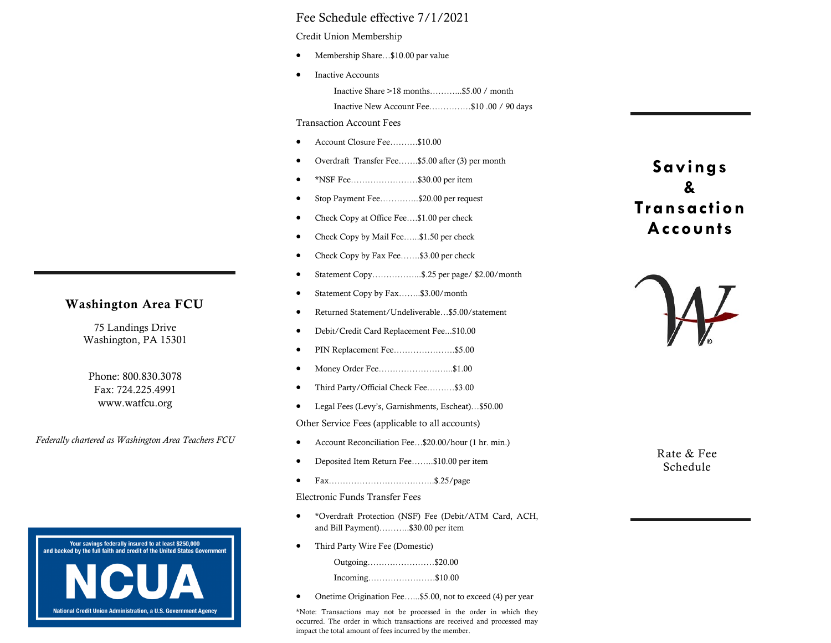#### Fee Schedule effective 7/1/2021

Credit Union Membership

- Membership Share...\$10.00 par value
- Inactive Accounts

Inactive Share >18 months………...\$5.00 / month

Inactive New Account Fee……………\$10 .00 / 90 days

Transaction Account Fees

- Account Closure Fee……….\$10.00
- Overdraft Transfer Fee…….\$5.00 after (3) per month
- \*NSF Fee……………………\$30.00 per item
- Stop Payment Fee…………..\$20.00 per request
- Check Copy at Office Fee….\$1.00 per check
- Check Copy by Mail Fee…...\$1.50 per check
- Check Copy by Fax Fee…….\$3.00 per check
- Statement Copy……………...\$.25 per page/ \$2.00/month
- Statement Copy by Fax……..\$3.00/month
- Returned Statement/Undeliverable…\$5.00/statement
- Debit/Credit Card Replacement Fee...\$10.00
- PIN Replacement Fee…………………………\$5.00
- Money Order Fee……………………...\$1.00
- Third Party/Official Check Fee……….\$3.00
- Legal Fees (Levy's, Garnishments, Escheat)…\$50.00

Other Service Fees (applicable to all accounts)

- Account Reconciliation Fee…\$20.00/hour (1 hr. min.)
- Deposited Item Return Fee……..\$10.00 per item
- $Fx$ <sub>x…</sub>  $Fx$ <sub>125</sub>/page

Electronic Funds Transfer Fees

- \*Overdraft Protection (NSF) Fee (Debit/ATM Card, ACH, and Bill Payment)………..\$30.00 per item
- Third Party Wire Fee (Domestic)

Outgoing……………………\$20.00

Incoming……………………\$10.00

• Onetime Origination Fee...... \$5.00, not to exceed (4) per year

\*Note: Transactions may not be processed in the order in which they occurred. The order in which transactions are received and processed may impact the total amount of fees incurred by the member.

# **Savings & Transaction Accounts**



Rate & Fee Schedule



## Washington Area FCU

75 Landings Drive Washington, PA 15301

Phone: 800.830.3078 Fax: 724.225.4991 www.watfcu.org

*Federally chartered as Washington Area Teachers FCU*